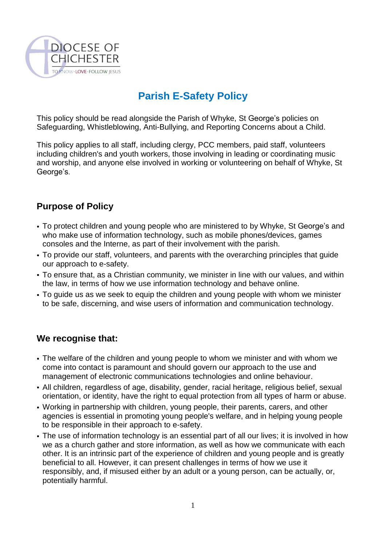

## **Parish E-Safety Policy**

This policy should be read alongside the Parish of Whyke, St George's policies on Safeguarding, Whistleblowing, Anti-Bullying, and Reporting Concerns about a Child.

This policy applies to all staff, including clergy, PCC members, paid staff, volunteers including children's and youth workers, those involving in leading or coordinating music and worship, and anyone else involved in working or volunteering on behalf of Whyke, St George's.

## **Purpose of Policy**

- To protect children and young people who are ministered to by Whyke, St George's and who make use of information technology, such as mobile phones/devices, games consoles and the Interne, as part of their involvement with the parish.
- To provide our staff, volunteers, and parents with the overarching principles that guide our approach to e-safety.
- To ensure that, as a Christian community, we minister in line with our values, and within the law, in terms of how we use information technology and behave online.
- To quide us as we seek to equip the children and young people with whom we minister to be safe, discerning, and wise users of information and communication technology.

## **We recognise that:**

- The welfare of the children and young people to whom we minister and with whom we come into contact is paramount and should govern our approach to the use and management of electronic communications technologies and online behaviour.
- All children, regardless of age, disability, gender, racial heritage, religious belief, sexual orientation, or identity, have the right to equal protection from all types of harm or abuse.
- Working in partnership with children, young people, their parents, carers, and other agencies is essential in promoting young people's welfare, and in helping young people to be responsible in their approach to e-safety.
- The use of information technology is an essential part of all our lives; it is involved in how we as a church gather and store information, as well as how we communicate with each other. It is an intrinsic part of the experience of children and young people and is greatly beneficial to all. However, it can present challenges in terms of how we use it responsibly, and, if misused either by an adult or a young person, can be actually, or, potentially harmful.